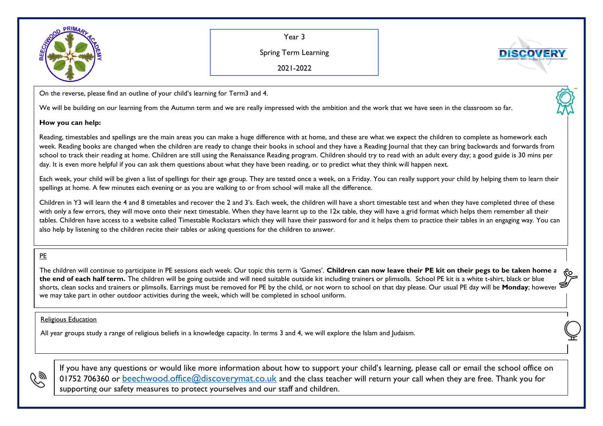

Year 3

Spring Term Learning

**DISCOVER** 

2021-2022

On the reverse, please find an outline of your child's learning for Term3 and 4.

We will be building on our learning from the Autumn term and we are really impressed with the ambition and the work that we have seen in the classroom so far.

## **How you can help:**

Reading, timestables and spellings are the main areas you can make a huge difference with at home, and these are what we expect the children to complete as homework each week. Reading books are changed when the children are ready to change their books in school and they have a Reading Journal that they can bring backwards and forwards from school to track their reading at home. Children are still using the Renaissance Reading program. Children should try to read with an adult every day; a good guide is 30 mins per day. It is even more helpful if you can ask them questions about what they have been reading, or to predict what they think will happen next.

Each week, your child will be given a list of spellings for their age group. They are tested once a week, on a Friday. You can really support your child by helping them to learn their spellings at home. A few minutes each evening or as you are walking to or from school will make all the difference.

Children in Y3 will learn the 4 and 8 timetables and recover the 2 and 3's. Each week, the children will have a short timestable test and when they have completed three of these with only a few errors, they will move onto their next timestable. When they have learnt up to the 12x table, they will have a grid format which helps them remember all their tables. Children have access to a website called Timestable Rockstars which they will have their password for and it helps them to practice their tables in an engaging way. You can also help by listening to the children recite their tables or asking questions for the children to answer.

## PE

The children will continue to participate in PE sessions each week. Our topic this term is 'Games'. **Children can now leave their PE kit on their pegs to be taken home at the end of each half term.** The children will be going outside and will need suitable outside kit including trainers or plimsolls. School PE kit is a white t-shirt, black or blue shorts, clean socks and trainers or plimsolls. Earrings must be removed for PE by the child, or not worn to school on that day please. Our usual PE day will be **Monday**; however, we may take part in other outdoor activities during the week, which will be completed in school uniform.

## Religious Education

All year groups study a range of religious beliefs in a knowledge capacity. In terms 3 and 4, we will explore the Islam and Judaism.



If you have any questions or would like more information about how to support your child's learning, please call or email the school office on 01752 706360 or [beechwood.office@discoverymat.co.uk](mailto:beechwood.office@discoverymat.co.uk) and the class teacher will return your call when they are free. Thank you for supporting our safety measures to protect yourselves and our staff and children.